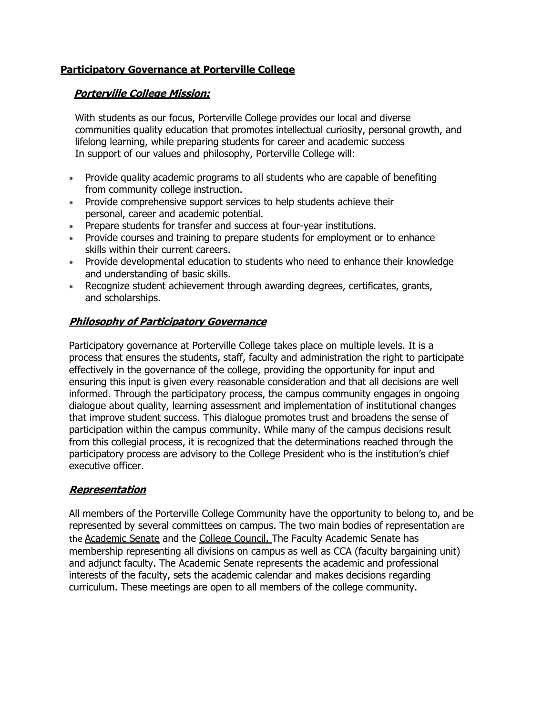## **Participatory Governance at Porterville College**

#### **Porterville College Mission:**

With students as our focus, Porterville College provides our local and diverse communities quality education that promotes intellectual curiosity, personal growth, and lifelong learning, while preparing students for career and academic success In support of our values and philosophy, Porterville College will:

- Provide quality academic programs to all students who are capable of benefiting from community college instruction.
- Provide comprehensive support services to help students achieve their personal, career and academic potential.
- Prepare students for transfer and success at four-year institutions.
- Provide courses and training to prepare students for employment or to enhance skills within their current careers.
- Provide developmental education to students who need to enhance their knowledge and understanding of basic skills.
- Recognize student achievement through awarding degrees, certificates, grants, and scholarships.

### **Philosophy of Participatory Governance**

Participatory governance at Porterville College takes place on multiple levels. It is a process that ensures the students, staff, faculty and administration the right to participate effectively in the governance of the college, providing the opportunity for input and ensuring this input is given every reasonable consideration and that all decisions are well informed. Through the participatory process, the campus community engages in ongoing dialogue about quality, learning assessment and implementation of institutional changes that improve student success. This dialogue promotes trust and broadens the sense of participation within the campus community. While many of the campus decisions result from this collegial process, it is recognized that the determinations reached through the participatory process are advisory to the College President who is the institution's chief executive officer.

#### **Representation**

All members of the Porterville College Community have the opportunity to belong to, and be represented by several committees on campus. The two main bodies of representation are the Academic Senate and the College Council. The Faculty Academic Senate has membership representing all divisions on campus as well as CCA (faculty bargaining unit) and adjunct faculty. The Academic Senate represents the academic and professional interests of the faculty, sets the academic calendar and makes decisions regarding curriculum. These meetings are open to all members of the college community.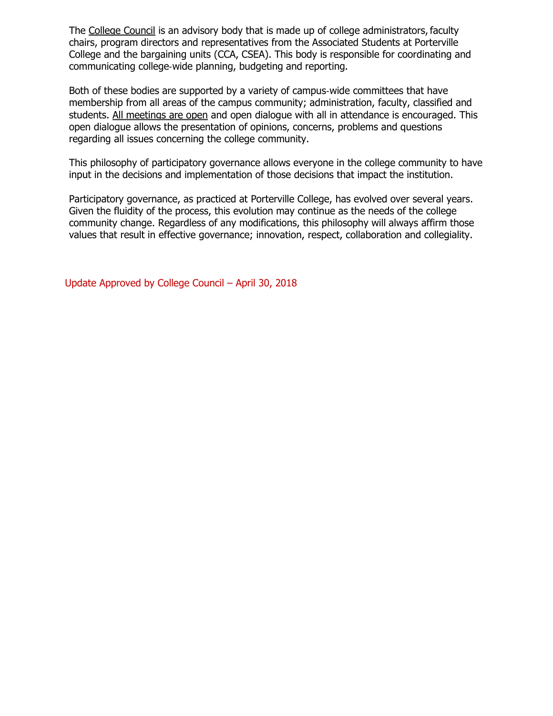The College Council is an advisory body that is made up of college administrators, faculty chairs, program directors and representatives from the Associated Students at Porterville College and the bargaining units (CCA, CSEA). This body is responsible for coordinating and communicating college‐wide planning, budgeting and reporting.

Both of these bodies are supported by a variety of campus‐wide committees that have membership from all areas of the campus community; administration, faculty, classified and students. All meetings are open and open dialogue with all in attendance is encouraged. This open dialogue allows the presentation of opinions, concerns, problems and questions regarding all issues concerning the college community.

This philosophy of participatory governance allows everyone in the college community to have input in the decisions and implementation of those decisions that impact the institution.

Participatory governance, as practiced at Porterville College, has evolved over several years. Given the fluidity of the process, this evolution may continue as the needs of the college community change. Regardless of any modifications, this philosophy will always affirm those values that result in effective governance; innovation, respect, collaboration and collegiality.

Update Approved by College Council – April 30, 2018